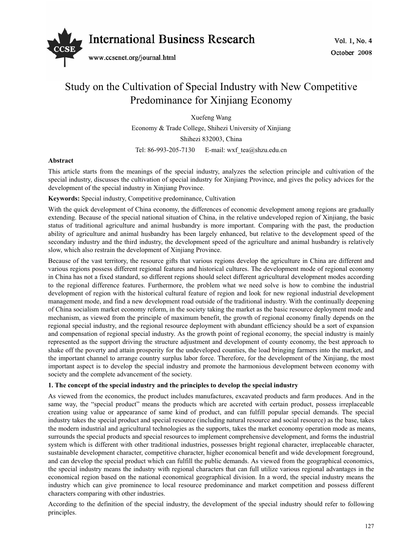

# Study on the Cultivation of Special Industry with New Competitive Predominance for Xinjiang Economy

Xuefeng Wang

Economy & Trade College, Shihezi University of Xinjiang

Shihezi 832003, China

Tel: 86-993-205-7130 E-mail: wxf\_tea@shzu.edu.cn

## **Abstract**

This article starts from the meanings of the special industry, analyzes the selection principle and cultivation of the special industry, discusses the cultivation of special industry for Xinjiang Province, and gives the policy advices for the development of the special industry in Xinjiang Province.

## **Keywords:** Special industry, Competitive predominance, Cultivation

With the quick development of China economy, the differences of economic development among regions are gradually extending. Because of the special national situation of China, in the relative undeveloped region of Xinjiang, the basic status of traditional agriculture and animal husbandry is more important. Comparing with the past, the production ability of agriculture and animal husbandry has been largely enhanced, but relative to the development speed of the secondary industry and the third industry, the development speed of the agriculture and animal husbandry is relatively slow, which also restrain the development of Xinjiang Province.

Because of the vast territory, the resource gifts that various regions develop the agriculture in China are different and various regions possess different regional features and historical cultures. The development mode of regional economy in China has not a fixed standard, so different regions should select different agricultural development modes according to the regional difference features. Furthermore, the problem what we need solve is how to combine the industrial development of region with the historical cultural feature of region and look for new regional industrial development management mode, and find a new development road outside of the traditional industry. With the continually deepening of China socialism market economy reform, in the society taking the market as the basic resource deployment mode and mechanism, as viewed from the principle of maximum benefit, the growth of regional economy finally depends on the regional special industry, and the regional resource deployment with abundant efficiency should be a sort of expansion and compensation of regional special industry. As the growth point of regional economy, the special industry is mainly represented as the support driving the structure adjustment and development of county economy, the best approach to shake off the poverty and attain prosperity for the undeveloped counties, the load bringing farmers into the market, and the important channel to arrange country surplus labor force. Therefore, for the development of the Xinjiang, the most important aspect is to develop the special industry and promote the harmonious development between economy with society and the complete advancement of the society.

#### **1. The concept of the special industry and the principles to develop the special industry**

As viewed from the economics, the product includes manufactures, excavated products and farm produces. And in the same way, the "special product" means the products which are accreted with certain product, possess irreplaceable creation using value or appearance of same kind of product, and can fulfill popular special demands. The special industry takes the special product and special resource (including natural resource and social resource) as the base, takes the modern industrial and agricultural technologies as the supports, takes the market economy operation mode as means, surrounds the special products and special resources to implement comprehensive development, and forms the industrial system which is different with other traditional industries, possesses bright regional character, irreplaceable character, sustainable development character, competitive character, higher economical benefit and wide development foreground, and can develop the special product which can fulfill the public demands. As viewed from the geographical economics, the special industry means the industry with regional characters that can full utilize various regional advantages in the economical region based on the national economical geographical division. In a word, the special industry means the industry which can give prominence to local resource predominance and market competition and possess different characters comparing with other industries.

According to the definition of the special industry, the development of the special industry should refer to following principles.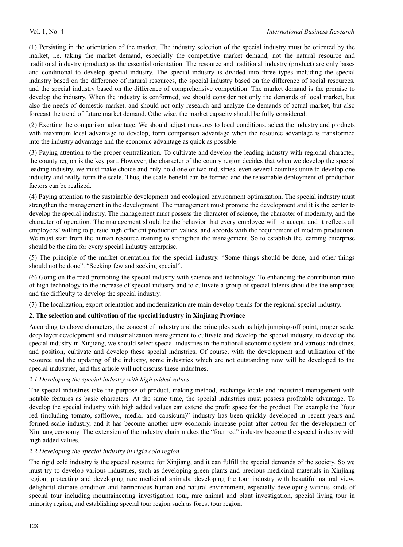(1) Persisting in the orientation of the market. The industry selection of the special industry must be oriented by the market, i.e. taking the market demand, especially the competitive market demand, not the natural resource and traditional industry (product) as the essential orientation. The resource and traditional industry (product) are only bases and conditional to develop special industry. The special industry is divided into three types including the special industry based on the difference of natural resources, the special industry based on the difference of social resources, and the special industry based on the difference of comprehensive competition. The market demand is the premise to develop the industry. When the industry is conformed, we should consider not only the demands of local market, but also the needs of domestic market, and should not only research and analyze the demands of actual market, but also forecast the trend of future market demand. Otherwise, the market capacity should be fully considered.

(2) Exerting the comparison advantage. We should adjust measures to local conditions, select the industry and products with maximum local advantage to develop, form comparison advantage when the resource advantage is transformed into the industry advantage and the economic advantage as quick as possible.

(3) Paying attention to the proper centralization. To cultivate and develop the leading industry with regional character, the county region is the key part. However, the character of the county region decides that when we develop the special leading industry, we must make choice and only hold one or two industries, even several counties unite to develop one industry and really form the scale. Thus, the scale benefit can be formed and the reasonable deployment of production factors can be realized.

(4) Paying attention to the sustainable development and ecological environment optimization. The special industry must strengthen the management in the development. The management must promote the development and it is the center to develop the special industry. The management must possess the character of science, the character of modernity, and the character of operation. The management should be the behavior that every employee will to accept, and it reflects all employees' willing to pursue high efficient production values, and accords with the requirement of modern production. We must start from the human resource training to strengthen the management. So to establish the learning enterprise should be the aim for every special industry enterprise.

(5) The principle of the market orientation for the special industry. "Some things should be done, and other things should not be done". "Seeking few and seeking special".

(6) Going on the road promoting the special industry with science and technology. To enhancing the contribution ratio of high technology to the increase of special industry and to cultivate a group of special talents should be the emphasis and the difficulty to develop the special industry.

(7) The localization, export orientation and modernization are main develop trends for the regional special industry.

# **2. The selection and cultivation of the special industry in Xinjiang Province**

According to above characters, the concept of industry and the principles such as high jumping-off point, proper scale, deep layer development and industrialization management to cultivate and develop the special industry, to develop the special industry in Xinjiang, we should select special industries in the national economic system and various industries, and position, cultivate and develop these special industries. Of course, with the development and utilization of the resource and the updating of the industry, some industries which are not outstanding now will be developed to the special industries, and this article will not discuss these industries.

#### *2.1 Developing the special industry with high added values*

The special industries take the purpose of product, making method, exchange locale and industrial management with notable features as basic characters. At the same time, the special industries must possess profitable advantage. To develop the special industry with high added values can extend the profit space for the product. For example the "four red (including tomato, safflower, medlar and capsicum)" industry has been quickly developed in recent years and formed scale industry, and it has become another new economic increase point after cotton for the development of Xinjiang economy. The extension of the industry chain makes the "four red" industry become the special industry with high added values.

#### *2.2 Developing the special industry in rigid cold region*

The rigid cold industry is the special resource for Xinjiang, and it can fulfill the special demands of the society. So we must try to develop various industries, such as developing green plants and precious medicinal materials in Xinjiang region, protecting and developing rare medicinal animals, developing the tour industry with beautiful natural view, delightful climate condition and harmonious human and natural environment, especially developing various kinds of special tour including mountaineering investigation tour, rare animal and plant investigation, special living tour in minority region, and establishing special tour region such as forest tour region.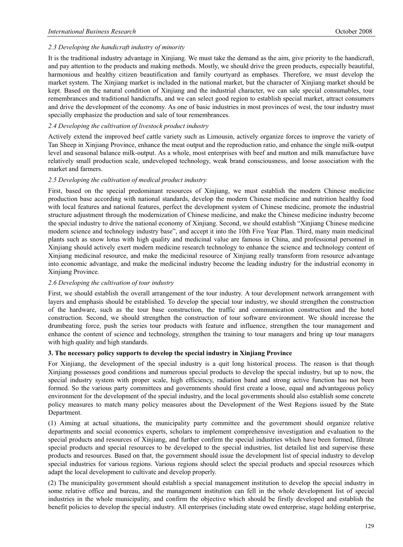# *2.3 Developing the handicraft industry of minority*

It is the traditional industry advantage in Xinjiang. We must take the demand as the aim, give priority to the handicraft, and pay attention to the products and making methods. Mostly, we should drive the green products, especially beautiful, harmonious and healthy citizen beautification and family courtyard as emphases. Therefore, we must develop the market system. The Xinjiang market is included in the national market, but the character of Xinjiang market should be kept. Based on the natural condition of Xinjiang and the industrial character, we can sale special consumables, tour remembrances and traditional handicrafts, and we can select good region to establish special market, attract consumers and drive the development of the economy. As one of basic industries in most provinces of west, the tour industry must specially emphasize the production and sale of tour remembrances.

# *2.4 Developing the cultivation of livestock product industry*

Actively extend the improved beef cattle variety such as Limousin, actively organize forces to improve the variety of Tan Sheep in Xinjiang Province, enhance the meat output and the reproduction ratio, and enhance the single milk-output level and seasonal balance milk-output. As a whole, most enterprises with beef and mutton and milk manufacture have relatively small production scale, undeveloped technology, weak brand consciousness, and loose association with the market and farmers.

## *2.5 Developing the cultivation of medical product industry*

First, based on the special predominant resources of Xinjiang, we must establish the modern Chinese medicine production base according with national standards, develop the modern Chinese medicine and nutrition healthy food with local features and national features, perfect the development system of Chinese medicine, promote the industrial structure adjustment through the modernization of Chinese medicine, and make the Chinese medicine industry become the special industry to drive the national economy of Xinjiang. Second, we should establish "Xinjiang Chinese medicine modern science and technology industry base", and accept it into the 10th Five Year Plan. Third, many main medicinal plants such as snow lotus with high quality and medicinal value are famous in China, and professional personnel in Xinjiang should actively exert modern medicine research technology to enhance the science and technology content of Xinjiang medicinal resource, and make the medicinal resource of Xinjiang really transform from resource advantage into economic advantage, and make the medicinal industry become the leading industry for the industrial economy in Xinjiang Province.

# *2.6 Developing the cultivation of tour industry*

First, we should establish the overall arrangement of the tour industry. A tour development network arrangement with layers and emphasis should be established. To develop the special tour industry, we should strengthen the construction of the hardware, such as the tour base construction, the traffic and communication construction and the hotel construction. Second, we should strengthen the construction of tour software environment. We should increase the drumbeating force, push the series tour products with feature and influence, strengthen the tour management and enhance the content of science and technology, strengthen the training to tour managers and bring up tour managers with high quality and high standards.

#### **3. The necessary policy supports to develop the special industry in Xinjiang Province**

For Xinjiang, the development of the special industry is a quit long historical process. The reason is that though Xinjiang possesses good conditions and numerous special products to develop the special industry, but up to now, the special industry system with proper scale, high efficiency, radiation band and strong active function has not been formed. So the various party committees and governments should first create a loose, equal and advantageous policy environment for the development of the special industry, and the local governments should also establish some concrete policy measures to match many policy measures about the Development of the West Regions issued by the State Department.

(1) Aiming at actual situations, the municipality party committee and the government should organize relative departments and social economics experts, scholars to implement comprehensive investigation and evaluation to the special products and resources of Xinjiang, and further confirm the special industries which have been formed, filtrate special products and special resources to be developed to the special industries, list detailed list and supervise these products and resources. Based on that, the government should issue the development list of special industry to develop special industries for various regions. Various regions should select the special products and special resources which adapt the local development to cultivate and develop properly.

(2) The municipality government should establish a special management institution to develop the special industry in some relative office and bureau, and the management institution can fell in the whole development list of special industries in the whole municipality, and confirm the objective which should be firstly developed and establish the benefit policies to develop the special industry. All enterprises (including state owed enterprise, stage holding enterprise,